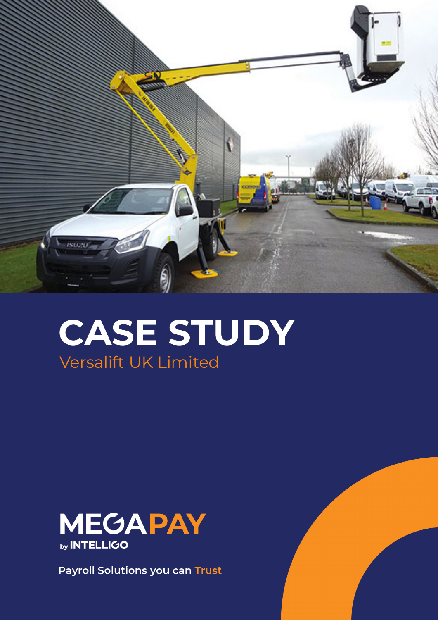

# **CASE STUDY** Versalift UK Limited



**Payroll Solutions you can Trust**